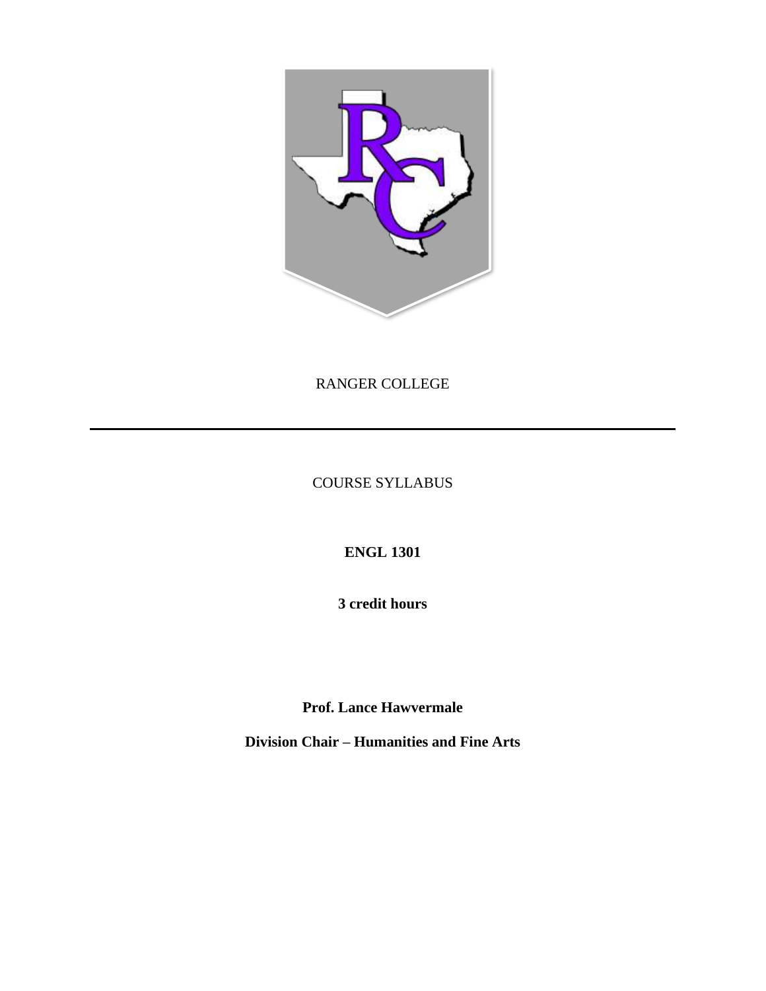

RANGER COLLEGE

COURSE SYLLABUS

**ENGL 1301**

**3 credit hours**

**Prof. Lance Hawvermale**

**Division Chair – Humanities and Fine Arts**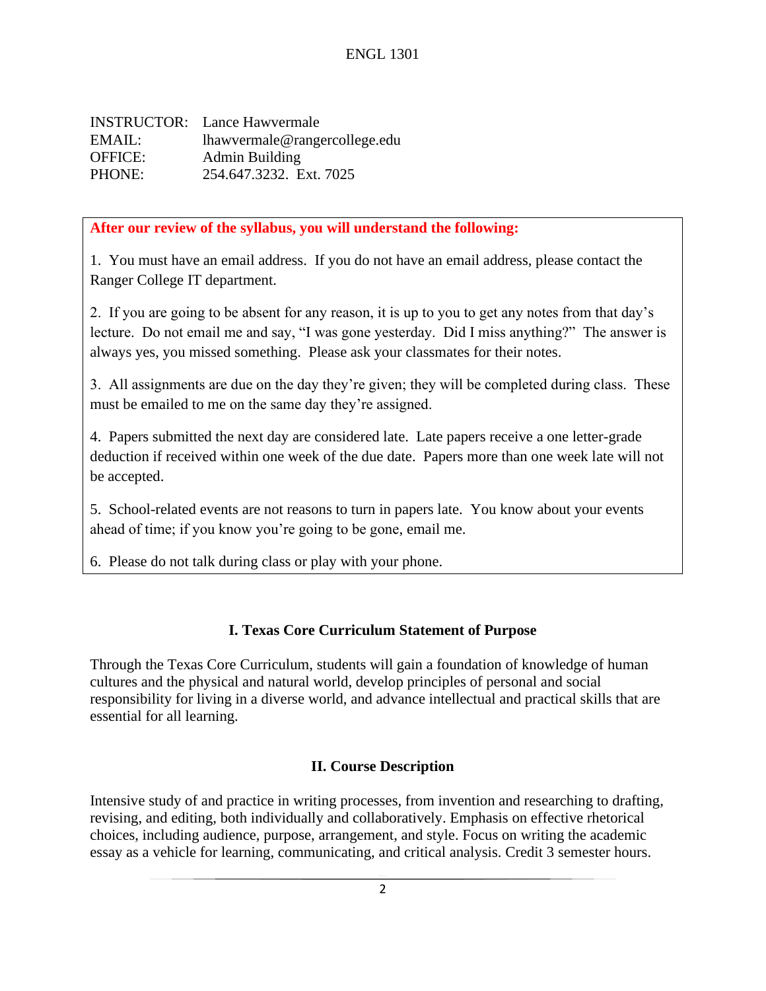INSTRUCTOR: Lance Hawvermale EMAIL: lhawvermale@rangercollege.edu OFFICE: Admin Building PHONE: 254.647.3232. Ext. 7025

## **After our review of the syllabus, you will understand the following:**

1. You must have an email address. If you do not have an email address, please contact the Ranger College IT department.

2. If you are going to be absent for any reason, it is up to you to get any notes from that day's lecture. Do not email me and say, "I was gone yesterday. Did I miss anything?" The answer is always yes, you missed something. Please ask your classmates for their notes.

3. All assignments are due on the day they're given; they will be completed during class. These must be emailed to me on the same day they're assigned.

4. Papers submitted the next day are considered late. Late papers receive a one letter-grade deduction if received within one week of the due date. Papers more than one week late will not be accepted.

5. School-related events are not reasons to turn in papers late. You know about your events ahead of time; if you know you're going to be gone, email me.

6. Please do not talk during class or play with your phone.

# **I. Texas Core Curriculum Statement of Purpose**

Through the Texas Core Curriculum, students will gain a foundation of knowledge of human cultures and the physical and natural world, develop principles of personal and social responsibility for living in a diverse world, and advance intellectual and practical skills that are essential for all learning.

# **II. Course Description**

Intensive study of and practice in writing processes, from invention and researching to drafting, revising, and editing, both individually and collaboratively. Emphasis on effective rhetorical choices, including audience, purpose, arrangement, and style. Focus on writing the academic essay as a vehicle for learning, communicating, and critical analysis. Credit 3 semester hours.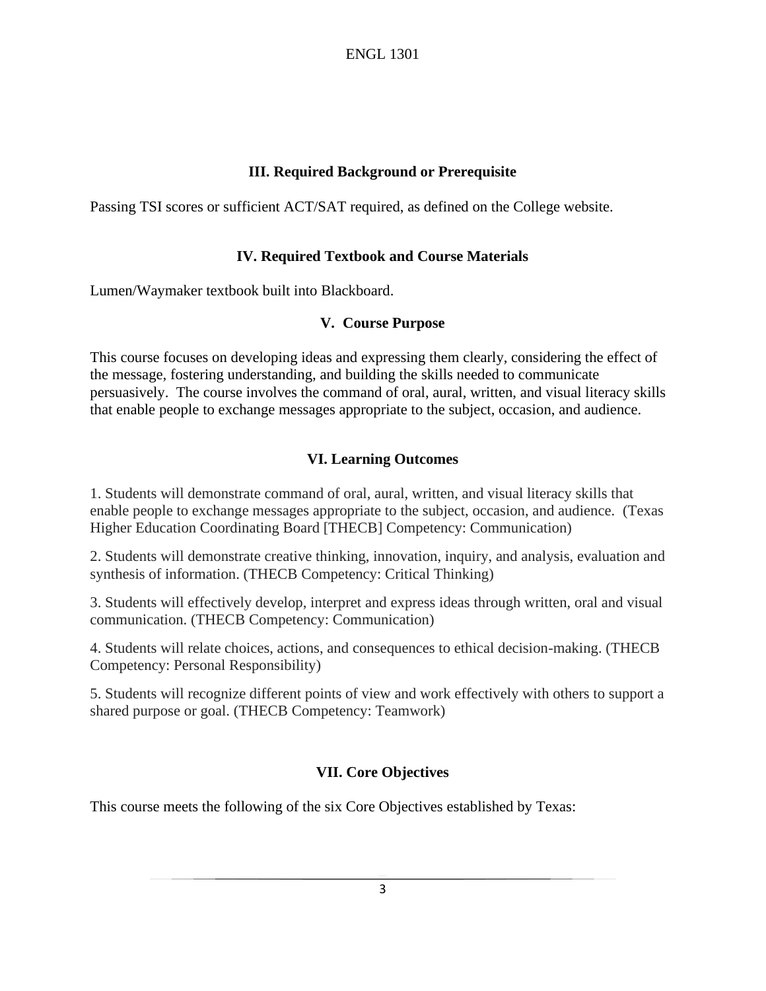### **III. Required Background or Prerequisite**

Passing TSI scores or sufficient ACT/SAT required, as defined on the College website.

### **IV. Required Textbook and Course Materials**

Lumen/Waymaker textbook built into Blackboard.

#### **V. Course Purpose**

This course focuses on developing ideas and expressing them clearly, considering the effect of the message, fostering understanding, and building the skills needed to communicate persuasively. The course involves the command of oral, aural, written, and visual literacy skills that enable people to exchange messages appropriate to the subject, occasion, and audience.

## **VI. Learning Outcomes**

1. Students will demonstrate command of oral, aural, written, and visual literacy skills that enable people to exchange messages appropriate to the subject, occasion, and audience. (Texas Higher Education Coordinating Board [THECB] Competency: Communication)

2. Students will demonstrate creative thinking, innovation, inquiry, and analysis, evaluation and synthesis of information. (THECB Competency: Critical Thinking)

3. Students will effectively develop, interpret and express ideas through written, oral and visual communication. (THECB Competency: Communication)

4. Students will relate choices, actions, and consequences to ethical decision-making. (THECB Competency: Personal Responsibility)

5. Students will recognize different points of view and work effectively with others to support a shared purpose or goal. (THECB Competency: Teamwork)

### **VII. Core Objectives**

This course meets the following of the six Core Objectives established by Texas: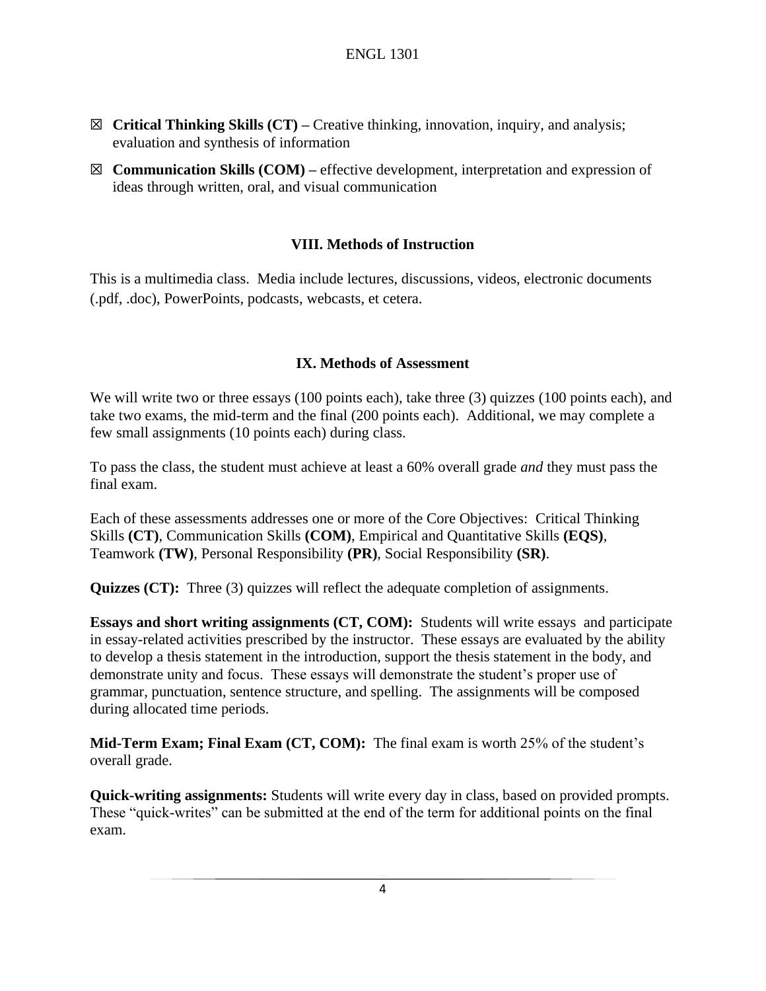- ☒ **Critical Thinking Skills (CT) –** Creative thinking, innovation, inquiry, and analysis; evaluation and synthesis of information
- ☒ **Communication Skills (COM) –** effective development, interpretation and expression of ideas through written, oral, and visual communication

### **VIII. Methods of Instruction**

This is a multimedia class. Media include lectures, discussions, videos, electronic documents (.pdf, .doc), PowerPoints, podcasts, webcasts, et cetera.

### **IX. Methods of Assessment**

We will write two or three essays (100 points each), take three (3) quizzes (100 points each), and take two exams, the mid-term and the final (200 points each). Additional, we may complete a few small assignments (10 points each) during class.

To pass the class, the student must achieve at least a 60% overall grade *and* they must pass the final exam.

Each of these assessments addresses one or more of the Core Objectives: Critical Thinking Skills **(CT)**, Communication Skills **(COM)**, Empirical and Quantitative Skills **(EQS)**, Teamwork **(TW)**, Personal Responsibility **(PR)**, Social Responsibility **(SR)**.

**Quizzes (CT):** Three (3) quizzes will reflect the adequate completion of assignments.

**Essays and short writing assignments (CT, COM):** Students will write essays and participate in essay-related activities prescribed by the instructor. These essays are evaluated by the ability to develop a thesis statement in the introduction, support the thesis statement in the body, and demonstrate unity and focus. These essays will demonstrate the student's proper use of grammar, punctuation, sentence structure, and spelling. The assignments will be composed during allocated time periods.

**Mid-Term Exam; Final Exam (CT, COM):** The final exam is worth 25% of the student's overall grade.

**Quick-writing assignments:** Students will write every day in class, based on provided prompts. These "quick-writes" can be submitted at the end of the term for additional points on the final exam.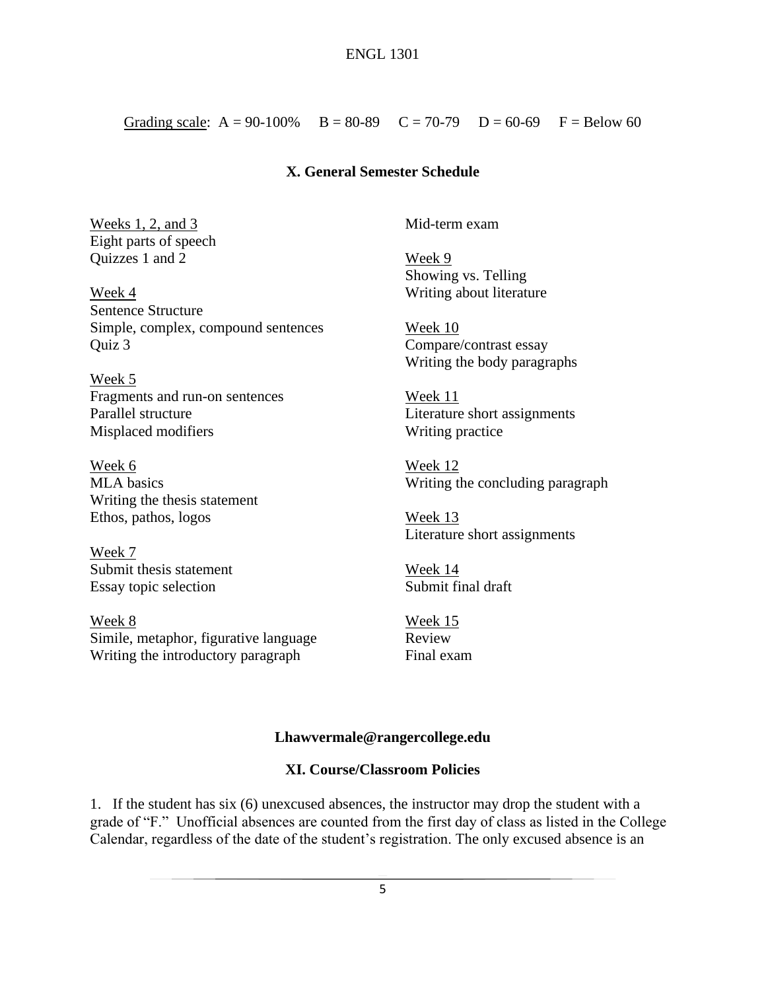Grading scale:  $A = 90-100\%$   $B = 80-89$   $C = 70-79$   $D = 60-69$   $F = Below 60$ 

#### **X. General Semester Schedule**

Weeks 1, 2, and 3 Eight parts of speech Quizzes 1 and 2

Week 4 Sentence Structure Simple, complex, compound sentences Quiz 3

Week 5 Fragments and run-on sentences Parallel structure Misplaced modifiers

Week 6 MLA basics Writing the thesis statement Ethos, pathos, logos

Week 7 Submit thesis statement Essay topic selection

Week 8 Simile, metaphor, figurative language Writing the introductory paragraph

Mid-term exam

Week 9 Showing vs. Telling Writing about literature

Week 10 Compare/contrast essay Writing the body paragraphs

Week 11 Literature short assignments Writing practice

Week 12 Writing the concluding paragraph

Week 13 Literature short assignments

Week 14 Submit final draft

Week 15 Review Final exam

#### **Lhawvermale@rangercollege.edu**

#### **XI. Course/Classroom Policies**

1. If the student has six (6) unexcused absences, the instructor may drop the student with a grade of "F." Unofficial absences are counted from the first day of class as listed in the College Calendar, regardless of the date of the student's registration. The only excused absence is an